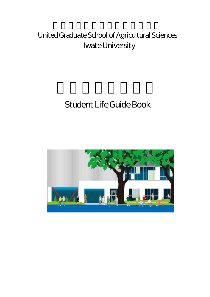# United Graduate School of Agricultural Sciences Iwate University

# Student Life Guide Book

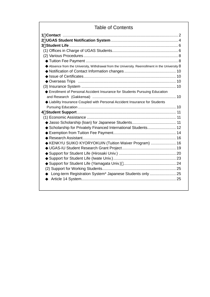| <b>Table of Contents</b>                                                                      |  |  |  |
|-----------------------------------------------------------------------------------------------|--|--|--|
| 1                                                                                             |  |  |  |
| $\mathbf{2}$                                                                                  |  |  |  |
|                                                                                               |  |  |  |
|                                                                                               |  |  |  |
|                                                                                               |  |  |  |
|                                                                                               |  |  |  |
| Absence from the University, Withdrawal from the University. Reenrollment in the University 8 |  |  |  |
|                                                                                               |  |  |  |
|                                                                                               |  |  |  |
|                                                                                               |  |  |  |
|                                                                                               |  |  |  |
| Enrollment of Personal Accident Insurance for Students Pursuing Education                     |  |  |  |
|                                                                                               |  |  |  |
| Liability Insurance Coupled with Personal Accident Insurance for Students                     |  |  |  |
|                                                                                               |  |  |  |
|                                                                                               |  |  |  |
|                                                                                               |  |  |  |
|                                                                                               |  |  |  |
| Scholarship for Privately Financed International Students 12                                  |  |  |  |
|                                                                                               |  |  |  |
|                                                                                               |  |  |  |
| KENKYU SUIKO KYORYOKUIN (Tuition Waiver Program)  16                                          |  |  |  |
|                                                                                               |  |  |  |
|                                                                                               |  |  |  |
|                                                                                               |  |  |  |
|                                                                                               |  |  |  |
|                                                                                               |  |  |  |
| Long-term Registration System* Japanese Students only  25                                     |  |  |  |
|                                                                                               |  |  |  |
|                                                                                               |  |  |  |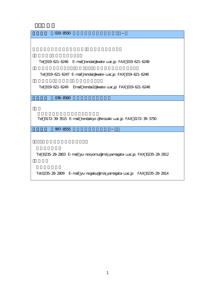020-8550

Tel: 019-621-6246 E-mail: rendai@iwate-u.ac.jp FAX: 019-621-6248

Tel: 019-621-6247 E-mail: rendai@iwate-u.ac.jp FAX: 019-621-6248

Tel: 019-621-6249 Email: rendai2@iwate-u.ac.jp FAX: 019-621-6248

036-8560

Tel: 0172-39-3515 E-mail: rendaikyo @hirosaki-u.ac.jp FAX: 0172-39-3750

997-8555

Tel:0235-28-2803 E-mail:yu-nosyomu@jm.kj.yamagata-u.ac.jp FAX:0235-28-2812

Tel:0235-28-2809 E-mail yu-nogaku@jm.kj.yamagata-u.ac.jp FAX 0235-28-2814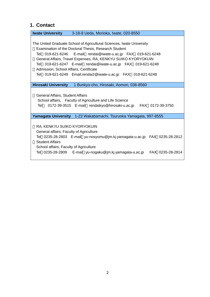# **1. Contact**

| <b>Iwate University</b><br>3-18-8 Ueda, Morioka, Iwate, 020-8550           |  |  |  |
|----------------------------------------------------------------------------|--|--|--|
|                                                                            |  |  |  |
| The United Graduate School of Agricultural Sciences, Iwate University      |  |  |  |
| Examination of the Doctoral Thesis, Research Student                       |  |  |  |
| Tel 019-621-6246 E-mail rendai@iwate-u.ac.jp FAX 019-621-6248              |  |  |  |
| General Affairs, Travel Expenses, RA, KENKYU SUIKO KYORYOKUIN              |  |  |  |
| Tel 019-621-6247 E-mail rendai@iwate-u.ac.jp FAX 019-621-6248              |  |  |  |
| Admission, School Affairs, Certificate                                     |  |  |  |
| Tel 019-621-6249 Email:rendai2@iwate-u.ac.jp FAX 019-621-6248              |  |  |  |
|                                                                            |  |  |  |
| <b>Hirosaki University</b><br>1 Bunkyo-cho, Hirosaki, Aomori, 036-8560     |  |  |  |
|                                                                            |  |  |  |
| <b>General Affairs, Student Affairs</b>                                    |  |  |  |
| School affairs, Faculty of Agriculture and Life Science                    |  |  |  |
| Tel<br>0172-39-3515 E-mail rendaikyo@hirosaki-u.ac.jp FAX 0172-39-3750     |  |  |  |
|                                                                            |  |  |  |
| Yamagata University 1-23 Wakabamachi, Tsuruoka Yamagata, 997-8555          |  |  |  |
|                                                                            |  |  |  |
| RA, KENKYU SUIKO KYORYOKUIN                                                |  |  |  |
| General affairs, Faculty of Agriculture                                    |  |  |  |
| Tel 0235-28-2803 E-mail yu-nosyomu@jm.kj.yamagata-u.ac.jp FAX 0235-28-2812 |  |  |  |
| <b>Student Affairs</b>                                                     |  |  |  |
| School affairs, Faculty of Agriculture                                     |  |  |  |
| Tel 0235-28-2809 E-mail yu-nogaku@jm.kj.yamagata-u.ac.jp FAX 0235-28-2814  |  |  |  |
|                                                                            |  |  |  |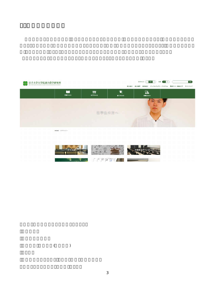

HOME > 在学生の方へ



 $($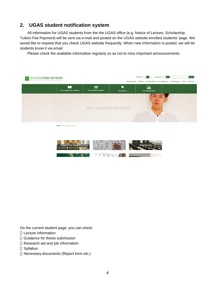# **2. UGAS student notification system**

All information for UGAS students from the the UGAS office (e.g. Notice of Lecture, Scholarship, Tuition Fee Payment) will be sent via e-mail and posted on the UGAS website enrolled students' page. We would like to request that you check UGAS website frequently. When new information is posted, we will let students know it via email.

Please check the available information regularly so as not to miss important announcements.



 $\frac{1}{21}$  = 22 = 23 × 24 = 25 = 1

 $\mathcal{L}_{\mathcal{N}}$ 

On the current student page, you can check: Lecture information

Guidance for thesis submission

Research aid and job information

Syllabus

Necessary documents (Report form etc.)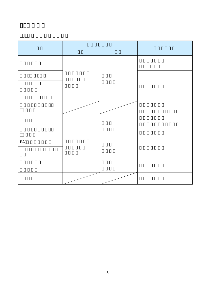| ${\sf RA}$ |  |  |
|------------|--|--|
|            |  |  |
|            |  |  |
|            |  |  |
|            |  |  |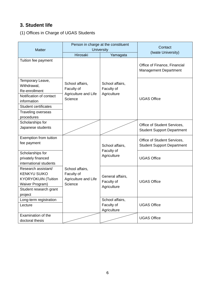# **3. Student life**

(1) Offices in Charge of UGAS Students

| <b>Matter</b>                                                                                                                                                 | Person in charge at the constituent<br><b>University</b>         |                                               | Contact<br>(Iwate University)                                    |
|---------------------------------------------------------------------------------------------------------------------------------------------------------------|------------------------------------------------------------------|-----------------------------------------------|------------------------------------------------------------------|
|                                                                                                                                                               | Hirosaki                                                         | Yamagata                                      |                                                                  |
| Tuition fee payment                                                                                                                                           |                                                                  |                                               | Office of Finance, Financial<br><b>Management Department</b>     |
| Temporary Leave,<br>Withdrawal,<br>Re-enrollment<br>Notification of contact<br>information<br><b>Student certificates</b><br>Traveling overseas<br>procedures | School affairs,<br>Faculty of<br>Agriculture and Life<br>Science | School affairs,<br>Faculty of<br>Agriculture  | <b>UGAS Office</b>                                               |
| Scholarships for<br>Japanese students                                                                                                                         |                                                                  |                                               | Office of Student Services,<br><b>Student Support Department</b> |
| Exemption from tuition<br>fee payment                                                                                                                         |                                                                  | School affairs,                               | Office of Student Services,<br><b>Student Support Department</b> |
| Scholarships for<br>privately financed<br>international students                                                                                              |                                                                  | Faculty of<br>Agriculture                     | <b>UGAS Office</b>                                               |
| Research assistant/<br><b>KENKYU SUIKO</b><br><b>KYORYOKUIN (Tuition</b><br>Waiver Program)<br>Student research grant<br>project                              | School affairs,<br>Faculty of<br>Agriculture and Life<br>Science | General affairs,<br>Faculty of<br>Agriculture | <b>UGAS Office</b>                                               |
| Long-term registration<br>Lecture                                                                                                                             |                                                                  | School affairs,<br>Faculty of<br>Agriculture  | <b>UGAS Office</b>                                               |
| Examination of the<br>doctoral thesis                                                                                                                         |                                                                  |                                               | <b>UGAS Office</b>                                               |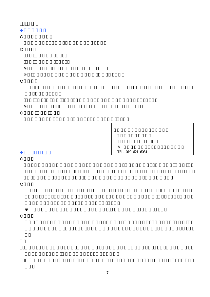TEL. 019-621-6031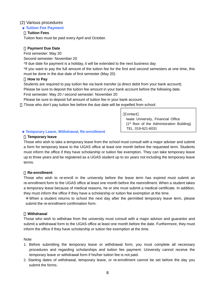# (2) Various procedures

#### ◆ **Tuition Fee Payment**

# \***Tuition Fees**

Tuition fees must be paid every April and October.

#### \***Payment Due Date**

#### First semester: May 20

Second semester: November 20

\*If due date for payment is a holiday, it will be extended to the next business day

\*If you want to pay the full amount of the tuition fee for the first and second semesters at one time, this must be done in the due date of first semester (May 20)

#### **How to Pay**

Students are required to pay tuition fee via bank transfer (a direct debit from your bank account).

Please be sure to deposit the tuition fee amount in your bank account before the following date.

First semester: May 20 / second semester: November 20

Please be sure to deposit full amount of tuition fee in your bank account.

Those who don't pay tuition fee before the due date will be expelled from school.

**Contact** 

Iwate University, Financial Office (1st floor of the Administration Building) TEL. 019-621-6031

#### ◆ **Temporary Leave, Withdrawal, Re-enrollment**

## **Temporary leave**

Those who wish to take a temporary leave from the school must consult with a major adviser and submit a form for temporary leave to the UGAS office at least one month before the requested term. Students must inform the office if they have scholarship or tuition fee exemption. They can take temporary leave up to three years and be registered as a UGAS student up to six years not including the temporary leave terms.

## \***Re-enrollment**

Those who wish to re-enroll in the university before the leave term has expired must submit an re-enrollment form to the UGAS office at least one month before the reenrollment. When a student takes a temporary leave because of medical reasons, he or she must submit a medical certificate. In addition, they must inform the office if they have a scholarship or tuition fee exemption at the time.

When a student returns to school the next day after the permitted temporary leave term, please submit the re-enrollment confirmation form.

#### **Withdrawal**

Those who wish to withdraw from the university must consult with a major advisor and guarantor and submit a withdrawal form to the UGAS office at least one month before the date. Furthermore, they must inform the office if they have scholarship or tuition fee exemption at the time.

**Note** 

- 1. Before submitting the temporary leave or withdrawal form, you must complete all necessary procedures and regarding scholarships and tuition fee payment. University cannot receive the temporary leave or withdrawal form if his/her tuition fee is not paid.
- 2. Starting dates of withdrawal, temporary leave, or re-enrollment cannot be set before the day you submit the forms.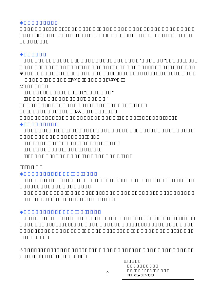

 $\overline{a}$ 

 $500$ 

TEL. 019-652-3533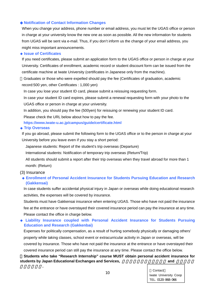# **Notification of Contact Information Changes**

When you change your address, phone number or email address, you must let the UGAS office or person in charge at your university know the new one as soon as possible. All the new information for students from UGAS will be sent via e-mail. Thus, if you don't inform us the change of your email address, you might miss important announcements.

## ◆ **Issue of Certificates**

If you need certificates, please submit an application form to the UGAS office or person in charge at your University. Certificates of enrollment, academic record or student discount form can be issued from the certificate machine at Iwate University (certificates in Japanese only from the machine).

Graduates or those who were expelled should pay the fee (Certificates of graduation, academic record:500 yen, other Certificates : 1,000 yen)

In case you lose your student ID card, please submit a reissuing requesting form.

In case your student ID card expires, please submit a renewal requesting form with your photo to the

UGAS office or person in charge at your university.

In addition, you should pay the fee (500yen) for reissuing or renewing your student ID card.

Please check the URL below about how to pay the fee.

 **https://www.iwate-u.ac.jp/campus/guide/certificate.html** 

# ◆ **Trip Overseas**

If you go abroad, please submit the following form to the UGAS office or to the person in charge at your University before you leave even if you stay a short period:

Japanese students: Report of the student's trip overseas (Departure)

International students: Notification of temporary trip overseas (Return/Trip)

All students should submit a report after their trip overseas when they travel abroad for more than 1 month: (Return)

# (3) Insurance

賠償責任保険**.** 

# ◆ Enrollment of Personal Accident Insurance for Students Pursuing Education and Research **(Gakkensai)**

In case students suffer accidental physical injury in Japan or overseas while doing educational research activities, the expenses will be covered by insurance.

Students must have Gakkensai insurance when entering UGAS. Those who have not paid the insurance fee at the entrance or have overstayed their covered insurance period can pay the insurance at any time. Please contact the office in charge below.

# ◆ **Liability Insurance coupled with Personal Accident Insurance for Students Pursuing Education and Research (Gakkenbai)**

Expenses for politically compensation, as a result of hurting somebody physically or damaging others' property while taking classes, school event or extracurricular activity in Japan or overseas, will be covered by insurance. Those who have not paid the insurance at the entrance or have overstayed their covered insurance period can still pay the insurance at any time. Please contact the office below.

\***Students who take "Research Internship" course MUST obtain personal accident insurance for students by Japan Educational Exchanges and Services,**  $\qquad \qquad \text{and}$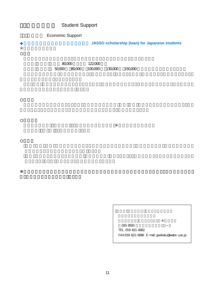# Student Support

Economic Support

**JASSO scholarship (loan) for Japanese students** 

 $80,000$  122,000  $50,000$   $80,000$   $100,000$   $130,000$   $150,000$ 

> 020-8550 TEL. 019-621-6062 FAX.019-621-6066 E-mail: gseikatu@iwate-u.ac.jp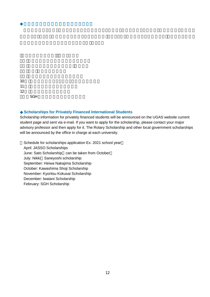$10$  $11$  $12$ SGH

#### **Scholarships for Privately Financed International Students**

Scholarship information for privately financed students will be announced on the UGAS website current student page and sent via e-mail. If you want to apply for the scholarship, please contact your major advisory professor and then apply for it. The Rotary Scholarship and other local government scholarships will be announced by the office in charge at each university.

Schedule for scholarships application Ex. 2021 school year April: JASSO Scholarships June: Sato Scholarship can be taken from October July: Nikki Saneyoshi scholarship September: Heiwa Nakajima Scholarship October: Kawashima Shoji Scholarship November: Kyoritsu Kokusai Scholarship December: Iwatani Scholarship February: SGH Scholarship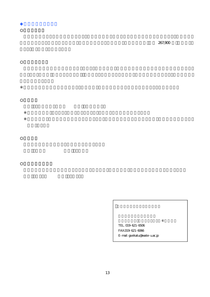$\sim$  267,900  $\sim$  267,900  $\sim$ 

TEL. 019-621-6506 FAX.019-621-6066 E-mail: gseikatu@iwate-u.ac.jp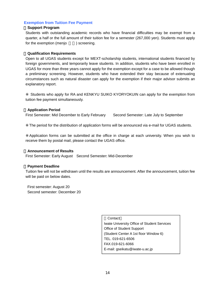# **Exemption from Tuition Fee Payment**

#### **Support Program**

Students with outstanding academic records who have financial difficulties may be exempt from a quarter, a half or the full amount of their tuition fee for a semester (267,000 yen). Students must apply for the exemption (menjo  $\qquad$ ) screening.

#### \***Qualification Requirements**

Open to all UGAS students except for MEXT-scholarship students, international students financed by foreign governments, and temporarily leave students. In addition, students who have been enrolled in UGAS for more than three years cannot apply for the exemption except for a case to be allowed though a preliminary screening. However, students who have extended their stay because of extenuating circumstances such as natural disaster can apply for the exemption if their major advisor submits an explanatory report.

 Students who apply for RA and KENKYU SUIKO KYORYOKUIN can apply for the exemption from tuition fee payment simultaneously.

#### **Application Period**

First Semester: Mid December to Early February Second Semester: Late July to September

The period for the distribution of application forms will be announced via e-mail for UGAS students.

Application forms can be submitted at the office in charge at each university. When you wish to receive them by postal mail, please contact the UGAS office.

## \***Announcement of Results**

First Semester: Early August Second Semester**:** Mid-December

## \***Payment Deadline**

Tuition fee will not be withdrawn until the results are announcement. After the announcement, tuition fee will be paid on below dates.

First semester: August 20 Second semester: December 20

> **Contact** Iwate University Office of Student Services Office of Student Support (Student Center A 1st floor Window 6) TEL. 019-621-6506 FAX.019-621-6066 E-mail: gseikatu@iwate-u.ac.jp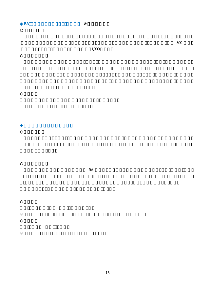$\sim$  300  $\sim$ 

 $R$ A  $\sim$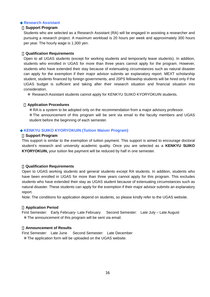#### **Research Assistant**

#### **Support Program**

Students who are selected as a Research Assistant (RA) will be engaged in assisting a researcher and pursuing a research project. A maximum workload is 20 hours per week and approximately 300 hours per year. The hourly wage is 1,300 yen.

#### \***Qualification Requirements**

Open to all UGAS students (except for working students and temporarily leave students). In addition, students who enrolled in UGAS for more than three years cannot apply for the program. However, students who have extended their stay because of extenuating circumstances such as natural disaster can apply for the exemption if their major advisor submits an explanatory report. MEXT scholarship student, students financed by foreign governments, and JSPS fellowship students will be hired only if the UGAS budget is sufficient and taking after their research situation and financial situation into consideration.

Research Assistant students cannot apply for KENKYU SUIKO KYORYOKUIN students.

#### **Application Procedures**

RA is a system to be adopted only on the recommendation from a major advisory professor.

The announcement of this program will be sent via email to the faculty members and UGAS student before the beginning of each semester.

#### **KENKYU SUIKO KYORYOKUIN (Tuition Waiver Program)**

#### **Support Program**

This support is similar to the exemption of tuition payment. This support is aimed to encourage doctoral student's research and university academic quality. Once you are selected as a **KENKYU SUIKO KYORYOKUIN,** your tuition fee payment will be reduced by half in one semester.

#### \***Qualification Requirements**

Open to UGAS working students and general students except RA students. In addition, students who have been enrolled in UGAS for more than three years cannot apply for this program. This excludes students who have extended their stay as UGAS student because of extenuating circumstances such as natural disaster. These students can apply for the exemption if their major advisor submits an explanatory report.

Note: The conditions for application depend on students, so please kindly refer to the UGAS website.

#### **Application Period**

First Semester: Early February- Late February Second Semester: Late July – Late August The announcement of this program will be sent via email.

#### \***Announcement of Results**

First Semester: Late June Second Semester: Late December The application form will be uploaded on the UGAS website.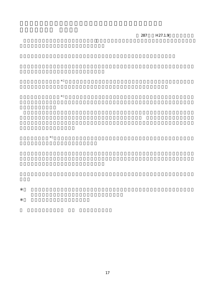287 H27.1.9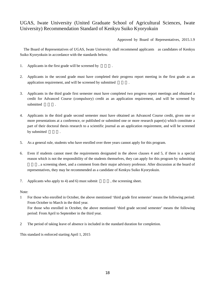# UGAS, Iwate University (United Graduate School of Agricultural Sciences, Iwate University) Recommendation Standard of Kenkyu Suiko Kyoryokuin

Approved by Board of Representatives, 2015.1.9

 The Board of Representatives of UGAS, Iwate University shall recommend applicants as candidates of Kenkyu Suiko Kyoryokuin in accordance with the standards below.

- 1. Applicants in the first grade will be screened by
- 2. Applicants in the second grade must have completed their progress report meeting in the first grade as an application requirement, and will be screened by submitted
- 3. Applicants in the third grade first semester must have completed two progress report meetings and obtained a credit for Advanced Course (compulsory) credit as an application requirement, and will be screened by submitted
- 4. Applicants in the third grade second semester must have obtained an Advanced Course credit, given one or more presentations at a conference, or published or submitted one or more research paper(s) which constitute a part of their doctoral thesis research to a scientific journal as an application requirement, and will be screened by submitted
- 5. As a general rule, students who have enrolled over three years cannot apply for this program.
- 6. Even if students cannot meet the requirements designated in the above clauses 4 and 5, if there is a special reason which is not the responsibility of the students themselves, they can apply for this program by submitting , a screening sheet, and a comment from their major advisory professor. After discussion at the board of representatives, they may be recommended as a candidate of Kenkyu Suiko Kyoryokuin.
- 7. Applicants who apply to 4) and 6) must submit the screening sheet.

## Note:

- 1 For those who enrolled in October, the above mentioned 'third grade first semester' means the following period: From October to March in the third year. For those who enrolled in October, the above mentioned 'third grade second semester' means the following period: From April to September in the third year.
- 2 The period of taking leave of absence is included in the standard duration for completion.

This standard is enforced starting April 1, 2015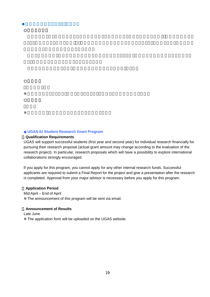# **UGAS-IU Student Research Grant Program**

#### \***Qualification Requirements**

UGAS will support successful students (first year and second year) for individual research financially for pursuing their research proposal (actual grant amount may change according to the evaluation of the research project). In particular, research proposals which will have a possibility to explore international collaborations strongly encouraged.

If you apply for this program, you cannot apply for any other internal research funds. Successful applicants are required to submit a Final Report for the project and give a presentation after the research is completed. Approval from your major advisor is necessary before you apply for this program.

# **Application Period**

Mid April – End of April The announcement of this program will be sent via email.

## \***Announcement of Results**

Late June

The application form will be uploaded on the UGAS website.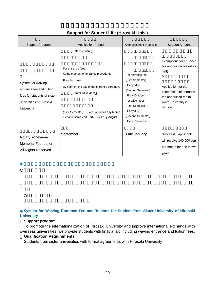| Support Program                                                                                                         | <b>Application Period</b>                                                                                                                                                                                                                                      | Announcement of Results                                                                                                                                                                | <b>Support Amount</b>                                                                                                                                                          |
|-------------------------------------------------------------------------------------------------------------------------|----------------------------------------------------------------------------------------------------------------------------------------------------------------------------------------------------------------------------------------------------------------|----------------------------------------------------------------------------------------------------------------------------------------------------------------------------------------|--------------------------------------------------------------------------------------------------------------------------------------------------------------------------------|
| System for waiving<br>entrance fee and tuition<br>fees for students of sister<br>universities of Hirosaki<br>University | New student<br>For entrance fees:<br>At the moment of entrance procedures<br>For tuition fees:<br>By noon on the day of the entrance ceremony<br>enrolled student<br>Late January-Early March<br>(First Semester)<br>(Second Semester) Early July-Early August | For entrance fee:<br>(First Semester)<br>Early May<br>(Second Semester)<br>Early October<br>For tuition fees:<br>(First Semester)<br>Early July<br>(Second Semester)<br>Early December | Exemptions for entrance<br>fee and tuition fee (all or<br>half)<br>Application for the<br>exemptions of entrance<br>fee and tuition fee to<br>Iwate University is<br>required. |
| Rotary Yoneyama<br><b>Memorial Foundation</b><br>All Rights Reserved.                                                   | September                                                                                                                                                                                                                                                      | Late January                                                                                                                                                                           | Successful applicants<br>will receive 140,000 yen<br>per month for one to two<br>years.                                                                                        |

# **Support for Student Life (Hirosaki Univ.)**

# **System for Waiving Entrance Fee and Tuitions for Student from Sister University of Hirosaki University**

# **Support program**

To promote the internationalization of Hirosaki University and improve international exchange with overseas universities, we provide students with finacial aid including waving entrance and tuition fees.

# \***Qualification Requirements**

Students from sister universities with formal agreements with Hirosaki University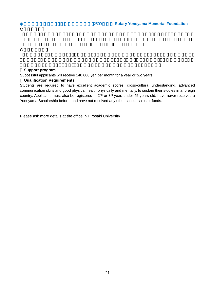# Support program

Successful applicants will receive 140,000 yen per month for a year or two years.

# \***Qualification Requirements**

Students are required to have excellent academic scores, cross-cultural understanding, advanced communication skills and good physical health physically and mentally, to sustain their studies in a foreign country. Applicants must also be registered in 2<sup>nd</sup> or 3<sup>rd</sup> year, under 45 years old, have never received a Yoneyama Scholarship before, and have not received any other scholarships or funds.

Please ask more details at the office in Hirosaki University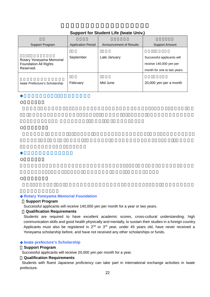# **Support for Student Life (Iwate Univ.)**

| Support Program                                                       | <b>Application Period</b> | Announcement of Results | Support Amount                                                                       |
|-----------------------------------------------------------------------|---------------------------|-------------------------|--------------------------------------------------------------------------------------|
| Rotary Yoneyama Memorial<br><b>Foundation All Rights</b><br>Reserved. | September                 | Late January            | Successful applicants will<br>receive 140,000 yen per<br>month for one to two years. |
| Iwate Prefecture's Scholarship                                        | February                  | Mid June                | 20,000 yen per a month                                                               |

## ◆**Rotary Yoneyama Memorial Foundation**

#### **Support Program**

Successful applicants will receive 140,000 yen per month for a year or two years.

# \***Qualification Requirements**

Students are required to have excellent academic scores, cross-cultural understanding, high communication skills and good health physically and mentally, to sustain their studies in a foreign country. Applicants must also be registered in 2<sup>nd</sup> or 3<sup>rd</sup> year, under 45 years old, have never received a Yoneyama scholarship before, and have not received any other scholarships or funds.

# **Iwate prefecture's Scholarship**

# **Support Program**

Successful applicants will receive 20,000 yen per month for a year.

# \***Qualification Requirements**

Students with fluent Japanese proficiency can take part in international exchange activities in Iwate prefecture.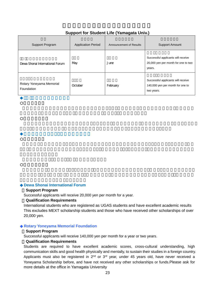| Support Program                        | <b>Application Period</b> | Announcement of Results | Support Amount                                                                       |
|----------------------------------------|---------------------------|-------------------------|--------------------------------------------------------------------------------------|
| Dewa Shonai International Forum        | May                       | June                    | Successful applicants will receive<br>20,000 yen per month for one to two<br>years.  |
| Rotary Yoneyama Memorial<br>Foundation | October                   | February                | Successful applicants will receive<br>140,000 yen per month for one to<br>two years. |

# **Support for Student Life (Yamagata Univ.)**

## **Dewa Shonai International Forum**

#### **Support Program**

Successful applicants will receive 20,000 yen per month for a year.

# \***Qualification Requirements**

International students who are registered as UGAS students and have excellent academic results This excludes MEXT scholarship students and those who have received other scholarships of over 20,000 yen.

# ◆**Rotary Yoneyama Memorial Foundation**

#### **Support Program**

Successful applicants will receive 140,000 yen per month for a year or two years.

#### \***Qualification Requirements**

Students are required to have excellent academic scores, cross-cultural understanding, high communication skills and good health physically and mentally, to sustain their studies in a foreign country. Applicants must also be registered in  $2<sup>nd</sup>$  or  $3<sup>rd</sup>$  year, under 45 years old, have never received a Yoneyama Scholarship before, and have not received any other scholarships or funds.Please ask for more details at the office in Yamagata University